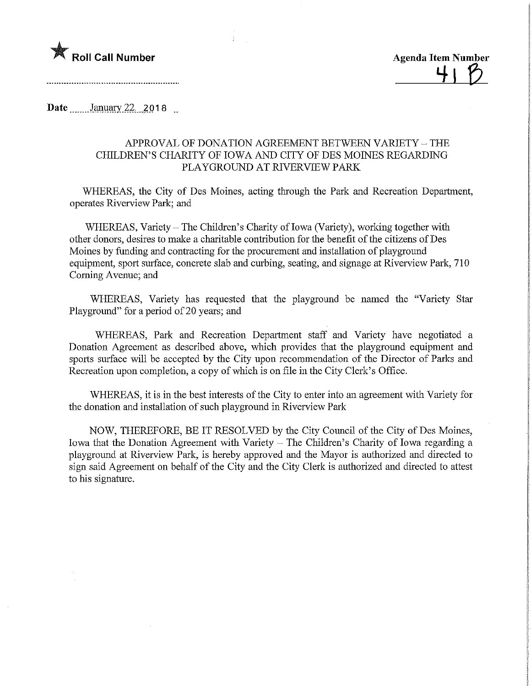

Date **January 22.** 2018

## APPROVAL OF DONATION AGREEMENT BETWEEN VARIETY - THE CHILDREN'S CHARITY OF IOWA AND CITY OF DES MOINES REGARDING PLAYGROUND AT RIVERVIEW PARK

WHEREAS, the City of Des Moines, acting through the Park and Recreation Department, operates Riverview Park; and

WHEREAS, Variety - The Children's Charity of Iowa (Variety), working together with other donors, desires to make a charitable contribution for the benefit of the citizens of Des Moines by funding and contracting for the procurement and installation of playground equipment, sport surface, concrete slab and curbing, seating, and signage at Riverview Park, 710 Coming Avenue; and

WHEREAS, Variety has requested that the playground be named the "Variety Star Playground" for a period of 20 years; and

WHEREAS, Park and Recreation Department staff and Variety have negotiated a Donation Agreement as described above, which provides that the playground equipment and sports surface will be accepted by the City upon recommendation of the Director of Parks and Recreation upon completion, a copy of which is on file in the City Clerk's Office.

WHEREAS, it is in the best interests of the City to enter into an agreement with Variety for the donation and installation of such playground in Riverview Park

NOW, THEREFORE, BE IT RESOLVED by the City Council of the City of Des Moines, Iowa that the Donation Agreement with Variety - The Children's Charity of Iowa regarding a playground at Riverview Park, is hereby approved and the Mayor is authorized and directed to sign said Agreement on behalf of the City and the City Clerk is authorized and directed to attest to his signature.